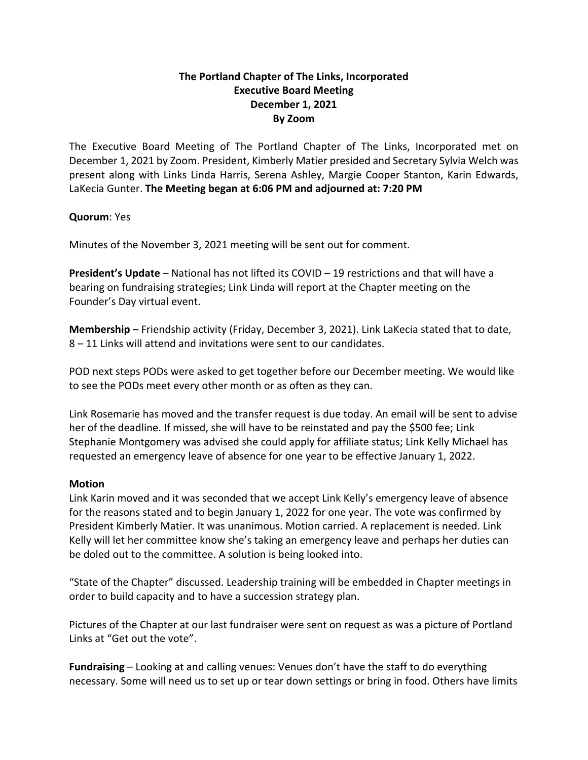## **The Portland Chapter of The Links, Incorporated Executive Board Meeting December 1, 2021 By Zoom**

The Executive Board Meeting of The Portland Chapter of The Links, Incorporated met on December 1, 2021 by Zoom. President, Kimberly Matier presided and Secretary Sylvia Welch was present along with Links Linda Harris, Serena Ashley, Margie Cooper Stanton, Karin Edwards, LaKecia Gunter. **The Meeting began at 6:06 PM and adjourned at: 7:20 PM**

## **Quorum**: Yes

Minutes of the November 3, 2021 meeting will be sent out for comment.

**President's Update** – National has not lifted its COVID – 19 restrictions and that will have a bearing on fundraising strategies; Link Linda will report at the Chapter meeting on the Founder's Day virtual event.

**Membership** – Friendship activity (Friday, December 3, 2021). Link LaKecia stated that to date, 8 – 11 Links will attend and invitations were sent to our candidates.

POD next steps PODs were asked to get together before our December meeting. We would like to see the PODs meet every other month or as often as they can.

Link Rosemarie has moved and the transfer request is due today. An email will be sent to advise her of the deadline. If missed, she will have to be reinstated and pay the \$500 fee; Link Stephanie Montgomery was advised she could apply for affiliate status; Link Kelly Michael has requested an emergency leave of absence for one year to be effective January 1, 2022.

## **Motion**

Link Karin moved and it was seconded that we accept Link Kelly's emergency leave of absence for the reasons stated and to begin January 1, 2022 for one year. The vote was confirmed by President Kimberly Matier. It was unanimous. Motion carried. A replacement is needed. Link Kelly will let her committee know she's taking an emergency leave and perhaps her duties can be doled out to the committee. A solution is being looked into.

"State of the Chapter" discussed. Leadership training will be embedded in Chapter meetings in order to build capacity and to have a succession strategy plan.

Pictures of the Chapter at our last fundraiser were sent on request as was a picture of Portland Links at "Get out the vote".

**Fundraising** – Looking at and calling venues: Venues don't have the staff to do everything necessary. Some will need us to set up or tear down settings or bring in food. Others have limits